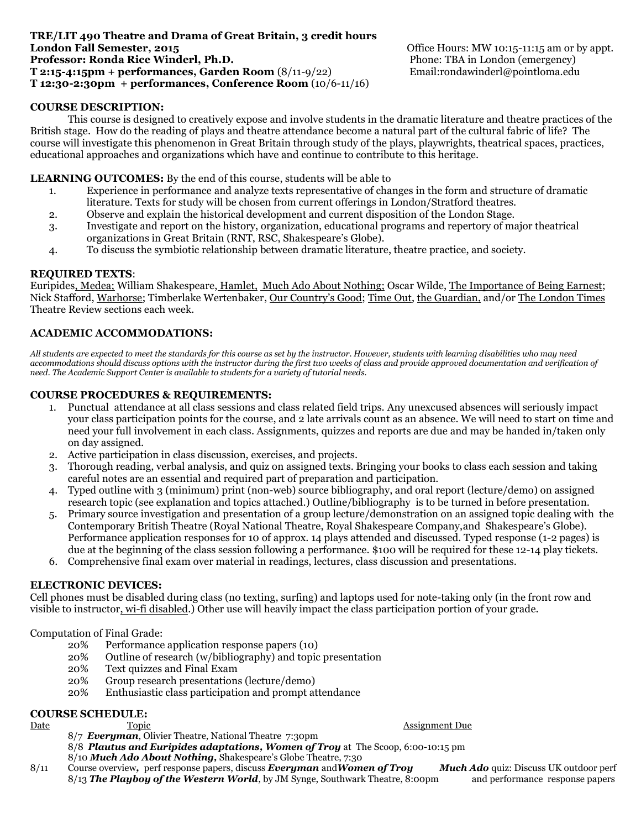#### **TRE/LIT 490 Theatre and Drama of Great Britain, 3 credit hours London Fall Semester, 2015 Condon Fall Semester, 2015 Condon Fall Semester, 2015 Professor: Ronda Rice Winderl, Ph.D. Phone: TBA in London (emergency) T 2:15-4:15pm + performances, Garden Room** (8/11-9/22) Email:rondawinderl@pointloma.edu **T 12:30-2:30pm + performances, Conference Room** (10/6-11/16)

# **COURSE DESCRIPTION:**

This course is designed to creatively expose and involve students in the dramatic literature and theatre practices of the British stage. How do the reading of plays and theatre attendance become a natural part of the cultural fabric of life? The course will investigate this phenomenon in Great Britain through study of the plays, playwrights, theatrical spaces, practices, educational approaches and organizations which have and continue to contribute to this heritage.

## **LEARNING OUTCOMES:** By the end of this course, students will be able to

- 1. Experience in performance and analyze texts representative of changes in the form and structure of dramatic literature. Texts for study will be chosen from current offerings in London/Stratford theatres.
- 2. Observe and explain the historical development and current disposition of the London Stage.
- 3. Investigate and report on the history, organization, educational programs and repertory of major theatrical organizations in Great Britain (RNT, RSC, Shakespeare's Globe).
- 4. To discuss the symbiotic relationship between dramatic literature, theatre practice, and society.

#### **REQUIRED TEXTS**:

Euripides, Medea; William Shakespeare, Hamlet, Much Ado About Nothing; Oscar Wilde, The Importance of Being Earnest; Nick Stafford, Warhorse; Timberlake Wertenbaker, Our Country's Good; Time Out, the Guardian, and/or The London Times Theatre Review sections each week.

### **ACADEMIC ACCOMMODATIONS:**

*All students are expected to meet the standards for this course as set by the instructor. However, students with learning disabilities who may need accommodations should discuss options with the instructor during the first two weeks of class and provide approved documentation and verification of need. The Academic Support Center is available to students for a variety of tutorial needs.*

### **COURSE PROCEDURES & REQUIREMENTS:**

- 1. Punctual attendance at all class sessions and class related field trips. Any unexcused absences will seriously impact your class participation points for the course, and 2 late arrivals count as an absence. We will need to start on time and need your full involvement in each class. Assignments, quizzes and reports are due and may be handed in/taken only on day assigned.
- 2. Active participation in class discussion, exercises, and projects.
- 3. Thorough reading, verbal analysis, and quiz on assigned texts. Bringing your books to class each session and taking careful notes are an essential and required part of preparation and participation.
- 4. Typed outline with 3 (minimum) print (non-web) source bibliography, and oral report (lecture/demo) on assigned research topic (see explanation and topics attached.) Outline/bibliography is to be turned in before presentation.
- 5. Primary source investigation and presentation of a group lecture/demonstration on an assigned topic dealing with the Contemporary British Theatre (Royal National Theatre, Royal Shakespeare Company,and Shakespeare's Globe). Performance application responses for 10 of approx. 14 plays attended and discussed. Typed response (1-2 pages) is due at the beginning of the class session following a performance. \$100 will be required for these 12-14 play tickets.
- 6. Comprehensive final exam over material in readings, lectures, class discussion and presentations.

#### **ELECTRONIC DEVICES:**

Cell phones must be disabled during class (no texting, surfing) and laptops used for note-taking only (in the front row and visible to instructor, wi-fi disabled.) Other use will heavily impact the class participation portion of your grade.

#### Computation of Final Grade:

- 20% Performance application response papers (10)
- 20% Outline of research (w/bibliography) and topic presentation
- 20% Text quizzes and Final Exam
- 20% Group research presentations (lecture/demo)
- 20% Enthusiastic class participation and prompt attendance

### **COURSE SCHEDULE:**

Date Topic Assignment Due

- 8/7 *Everyman*, Olivier Theatre, National Theatre 7:30pm 8/8 *Plautus and Euripides adaptations, Women of Troy* at The Scoop, 6:00-10:15 pm 8/10 *Much Ado About Nothing,* Shakespeare's Globe Theatre, 7:30
- 8/11 Course overview*,* perf response papers, discuss *Everyman* and*Women of Troy Much Ado* quiz: Discuss UK outdoor perf 8/13 **The Playboy of the Western World**, by JM Synge, Southwark Theatre, 8:00pm and performance response papers